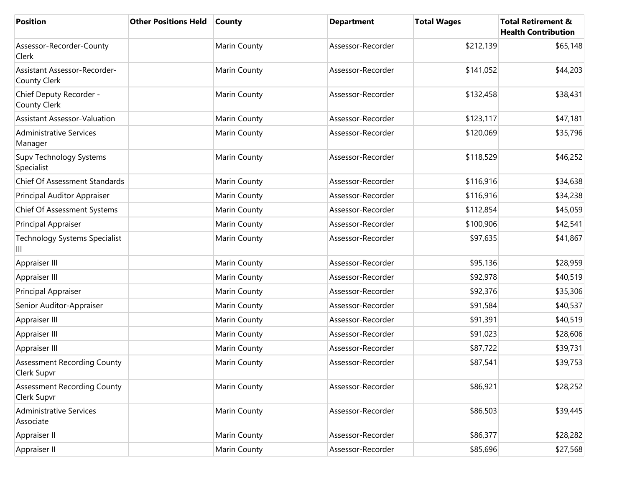| <b>Position</b>                                     | <b>Other Positions Held</b> | <b>County</b> | <b>Department</b> | <b>Total Wages</b> | <b>Total Retirement &amp;</b><br><b>Health Contribution</b> |
|-----------------------------------------------------|-----------------------------|---------------|-------------------|--------------------|-------------------------------------------------------------|
| Assessor-Recorder-County<br>Clerk                   |                             | Marin County  | Assessor-Recorder | \$212,139          | \$65,148                                                    |
| <b>Assistant Assessor-Recorder-</b><br>County Clerk |                             | Marin County  | Assessor-Recorder | \$141,052          | \$44,203                                                    |
| Chief Deputy Recorder -<br>County Clerk             |                             | Marin County  | Assessor-Recorder | \$132,458          | \$38,431                                                    |
| <b>Assistant Assessor-Valuation</b>                 |                             | Marin County  | Assessor-Recorder | \$123,117          | \$47,181                                                    |
| <b>Administrative Services</b><br>Manager           |                             | Marin County  | Assessor-Recorder | \$120,069          | \$35,796                                                    |
| Supv Technology Systems<br>Specialist               |                             | Marin County  | Assessor-Recorder | \$118,529          | \$46,252                                                    |
| Chief Of Assessment Standards                       |                             | Marin County  | Assessor-Recorder | \$116,916          | \$34,638                                                    |
| Principal Auditor Appraiser                         |                             | Marin County  | Assessor-Recorder | \$116,916          | \$34,238                                                    |
| Chief Of Assessment Systems                         |                             | Marin County  | Assessor-Recorder | \$112,854          | \$45,059                                                    |
| Principal Appraiser                                 |                             | Marin County  | Assessor-Recorder | \$100,906          | \$42,541                                                    |
| <b>Technology Systems Specialist</b><br>Ш           |                             | Marin County  | Assessor-Recorder | \$97,635           | \$41,867                                                    |
| Appraiser III                                       |                             | Marin County  | Assessor-Recorder | \$95,136           | \$28,959                                                    |
| Appraiser III                                       |                             | Marin County  | Assessor-Recorder | \$92,978           | \$40,519                                                    |
| Principal Appraiser                                 |                             | Marin County  | Assessor-Recorder | \$92,376           | \$35,306                                                    |
| Senior Auditor-Appraiser                            |                             | Marin County  | Assessor-Recorder | \$91,584           | \$40,537                                                    |
| Appraiser III                                       |                             | Marin County  | Assessor-Recorder | \$91,391           | \$40,519                                                    |
| Appraiser III                                       |                             | Marin County  | Assessor-Recorder | \$91,023           | \$28,606                                                    |
| Appraiser III                                       |                             | Marin County  | Assessor-Recorder | \$87,722           | \$39,731                                                    |
| <b>Assessment Recording County</b><br>Clerk Supvr   |                             | Marin County  | Assessor-Recorder | \$87,541           | \$39,753                                                    |
| <b>Assessment Recording County</b><br>Clerk Supvr   |                             | Marin County  | Assessor-Recorder | \$86,921           | \$28,252                                                    |
| <b>Administrative Services</b><br>Associate         |                             | Marin County  | Assessor-Recorder | \$86,503           | \$39,445                                                    |
| Appraiser II                                        |                             | Marin County  | Assessor-Recorder | \$86,377           | \$28,282                                                    |
| Appraiser II                                        |                             | Marin County  | Assessor-Recorder | \$85,696           | \$27,568                                                    |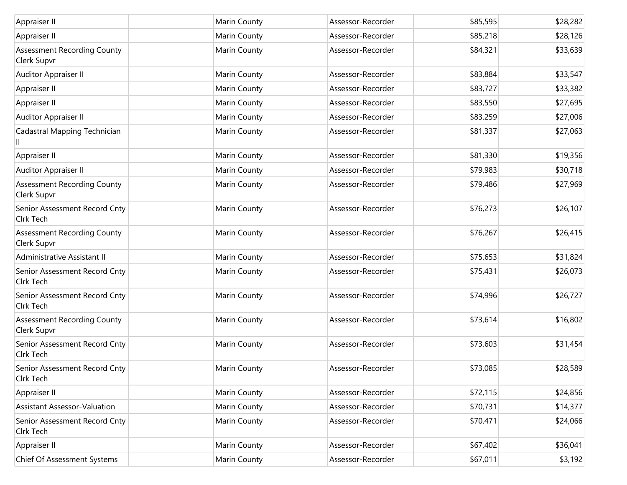| Appraiser II                                      | Marin County | Assessor-Recorder | \$85,595 | \$28,282 |
|---------------------------------------------------|--------------|-------------------|----------|----------|
| Appraiser II                                      | Marin County | Assessor-Recorder | \$85,218 | \$28,126 |
| <b>Assessment Recording County</b><br>Clerk Supvr | Marin County | Assessor-Recorder | \$84,321 | \$33,639 |
| Auditor Appraiser II                              | Marin County | Assessor-Recorder | \$83,884 | \$33,547 |
| Appraiser II                                      | Marin County | Assessor-Recorder | \$83,727 | \$33,382 |
| Appraiser II                                      | Marin County | Assessor-Recorder | \$83,550 | \$27,695 |
| Auditor Appraiser II                              | Marin County | Assessor-Recorder | \$83,259 | \$27,006 |
| Cadastral Mapping Technician                      | Marin County | Assessor-Recorder | \$81,337 | \$27,063 |
| Appraiser II                                      | Marin County | Assessor-Recorder | \$81,330 | \$19,356 |
| Auditor Appraiser II                              | Marin County | Assessor-Recorder | \$79,983 | \$30,718 |
| <b>Assessment Recording County</b><br>Clerk Supvr | Marin County | Assessor-Recorder | \$79,486 | \$27,969 |
| Senior Assessment Record Cnty<br>Clrk Tech        | Marin County | Assessor-Recorder | \$76,273 | \$26,107 |
| <b>Assessment Recording County</b><br>Clerk Supvr | Marin County | Assessor-Recorder | \$76,267 | \$26,415 |
| Administrative Assistant II                       | Marin County | Assessor-Recorder | \$75,653 | \$31,824 |
| Senior Assessment Record Cnty<br>Cirk Tech        | Marin County | Assessor-Recorder | \$75,431 | \$26,073 |
| Senior Assessment Record Cnty<br>Cirk Tech        | Marin County | Assessor-Recorder | \$74,996 | \$26,727 |
| <b>Assessment Recording County</b><br>Clerk Supvr | Marin County | Assessor-Recorder | \$73,614 | \$16,802 |
| Senior Assessment Record Cnty<br>Cirk Tech        | Marin County | Assessor-Recorder | \$73,603 | \$31,454 |
| Senior Assessment Record Cnty<br>Cirk Tech        | Marin County | Assessor-Recorder | \$73,085 | \$28,589 |
| Appraiser II                                      | Marin County | Assessor-Recorder | \$72,115 | \$24,856 |
| <b>Assistant Assessor-Valuation</b>               | Marin County | Assessor-Recorder | \$70,731 | \$14,377 |
| Senior Assessment Record Cnty<br>Clrk Tech        | Marin County | Assessor-Recorder | \$70,471 | \$24,066 |
| Appraiser II                                      | Marin County | Assessor-Recorder | \$67,402 | \$36,041 |
| Chief Of Assessment Systems                       | Marin County | Assessor-Recorder | \$67,011 | \$3,192  |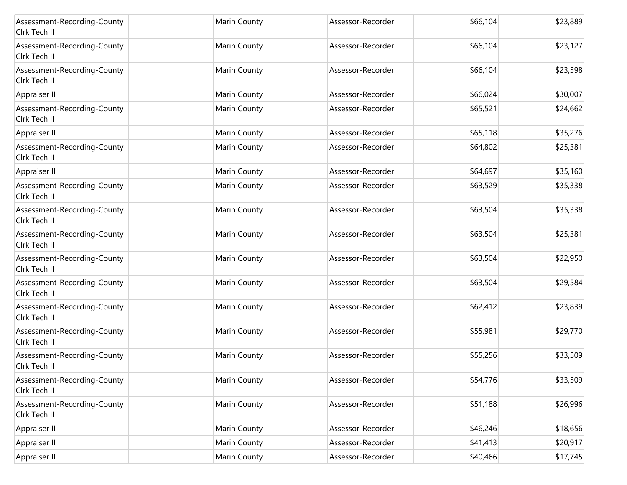| Assessment-Recording-County<br>Clrk Tech II | Marin County | Assessor-Recorder | \$66,104 | \$23,889 |
|---------------------------------------------|--------------|-------------------|----------|----------|
| Assessment-Recording-County<br>Clrk Tech II | Marin County | Assessor-Recorder | \$66,104 | \$23,127 |
| Assessment-Recording-County<br>Cirk Tech II | Marin County | Assessor-Recorder | \$66,104 | \$23,598 |
| Appraiser II                                | Marin County | Assessor-Recorder | \$66,024 | \$30,007 |
| Assessment-Recording-County<br>Clrk Tech II | Marin County | Assessor-Recorder | \$65,521 | \$24,662 |
| Appraiser II                                | Marin County | Assessor-Recorder | \$65,118 | \$35,276 |
| Assessment-Recording-County<br>Cirk Tech II | Marin County | Assessor-Recorder | \$64,802 | \$25,381 |
| Appraiser II                                | Marin County | Assessor-Recorder | \$64,697 | \$35,160 |
| Assessment-Recording-County<br>Clrk Tech II | Marin County | Assessor-Recorder | \$63,529 | \$35,338 |
| Assessment-Recording-County<br>Cirk Tech II | Marin County | Assessor-Recorder | \$63,504 | \$35,338 |
| Assessment-Recording-County<br>Clrk Tech II | Marin County | Assessor-Recorder | \$63,504 | \$25,381 |
| Assessment-Recording-County<br>Cirk Tech II | Marin County | Assessor-Recorder | \$63,504 | \$22,950 |
| Assessment-Recording-County<br>Clrk Tech II | Marin County | Assessor-Recorder | \$63,504 | \$29,584 |
| Assessment-Recording-County<br>Clrk Tech II | Marin County | Assessor-Recorder | \$62,412 | \$23,839 |
| Assessment-Recording-County<br>Cirk Tech II | Marin County | Assessor-Recorder | \$55,981 | \$29,770 |
| Assessment-Recording-County<br>Cirk Tech II | Marin County | Assessor-Recorder | \$55,256 | \$33,509 |
| Assessment-Recording-County<br>Clrk Tech II | Marin County | Assessor-Recorder | \$54,776 | \$33,509 |
| Assessment-Recording-County<br>Cirk Tech II | Marin County | Assessor-Recorder | \$51,188 | \$26,996 |
| Appraiser II                                | Marin County | Assessor-Recorder | \$46,246 | \$18,656 |
| Appraiser II                                | Marin County | Assessor-Recorder | \$41,413 | \$20,917 |
| Appraiser II                                | Marin County | Assessor-Recorder | \$40,466 | \$17,745 |